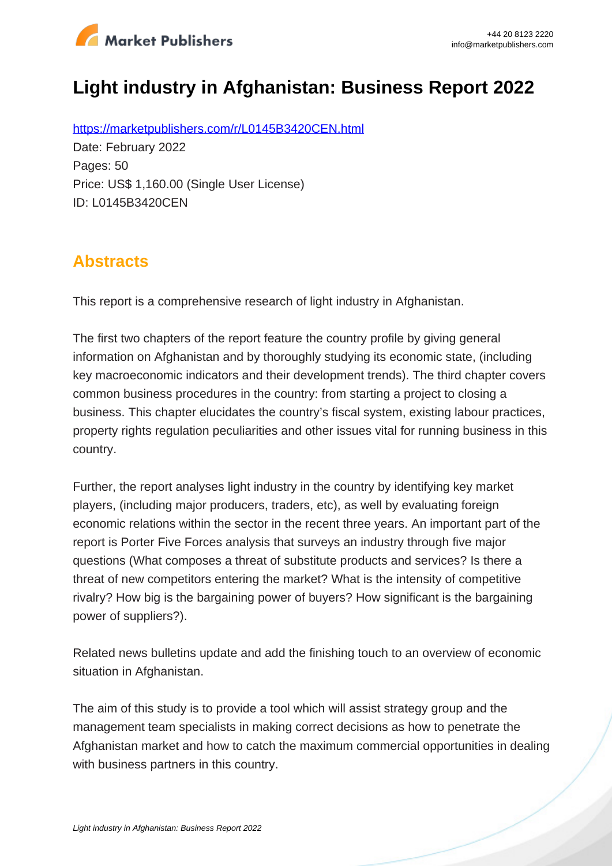

# **Light industry in Afghanistan: Business Report 2022**

https://marketpublishers.com/r/L0145B3420CEN.html Date: February 2022 Pages: 50 Price: US\$ 1,160.00 (Single User License) ID: L0145B3420CEN

# **Abstracts**

This report is a comprehensive research of light industry in Afghanistan.

The first two chapters of the report feature the country profile by giving general information on Afghanistan and by thoroughly studying its economic state, (including key macroeconomic indicators and their development trends). The third chapter covers common business procedures in the country: from starting a project to closing a business. This chapter elucidates the country's fiscal system, existing labour practices, property rights regulation peculiarities and other issues vital for running business in this country.

Further, the report analyses light industry in the country by identifying key market players, (including major producers, traders, etc), as well by evaluating foreign economic relations within the sector in the recent three years. An important part of the report is Porter Five Forces analysis that surveys an industry through five major questions (What composes a threat of substitute products and services? Is there a threat of new competitors entering the market? What is the intensity of competitive rivalry? How big is the bargaining power of buyers? How significant is the bargaining power of suppliers?).

Related news bulletins update and add the finishing touch to an overview of economic situation in Afghanistan.

The aim of this study is to provide a tool which will assist strategy group and the management team specialists in making correct decisions as how to penetrate the Afghanistan market and how to catch the maximum commercial opportunities in dealing with business partners in this country.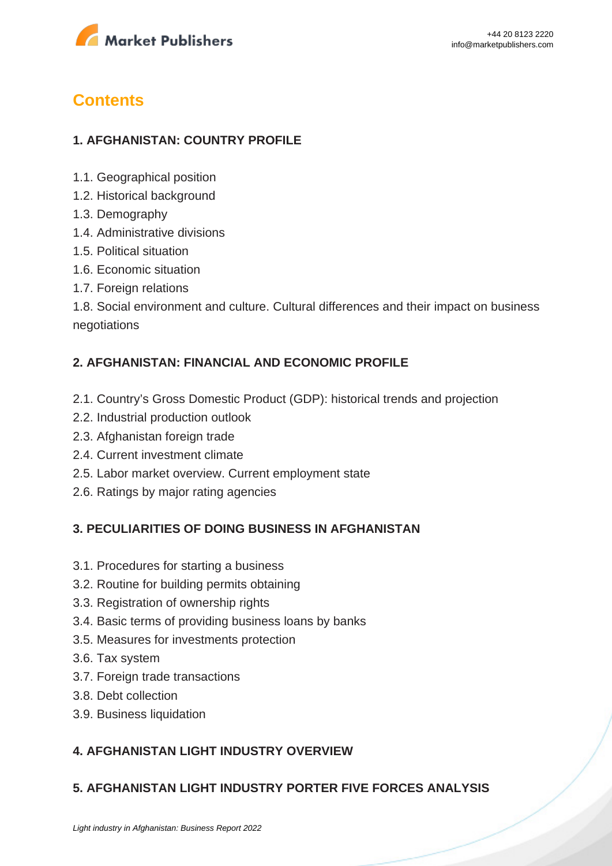

# **Contents**

### **1. AFGHANISTAN: COUNTRY PROFILE**

- 1.1. Geographical position
- 1.2. Historical background
- 1.3. Demography
- 1.4. Administrative divisions
- 1.5. Political situation
- 1.6. Economic situation
- 1.7. Foreign relations

1.8. Social environment and culture. Cultural differences and their impact on business negotiations

#### **2. AFGHANISTAN: FINANCIAL AND ECONOMIC PROFILE**

- 2.1. Country's Gross Domestic Product (GDP): historical trends and projection
- 2.2. Industrial production outlook
- 2.3. Afghanistan foreign trade
- 2.4. Current investment climate
- 2.5. Labor market overview. Current employment state
- 2.6. Ratings by major rating agencies

#### **3. PECULIARITIES OF DOING BUSINESS IN AFGHANISTAN**

- 3.1. Procedures for starting a business
- 3.2. Routine for building permits obtaining
- 3.3. Registration of ownership rights
- 3.4. Basic terms of providing business loans by banks
- 3.5. Measures for investments protection
- 3.6. Tax system
- 3.7. Foreign trade transactions
- 3.8. Debt collection
- 3.9. Business liquidation

### **4. AFGHANISTAN LIGHT INDUSTRY OVERVIEW**

#### **5. AFGHANISTAN LIGHT INDUSTRY PORTER FIVE FORCES ANALYSIS**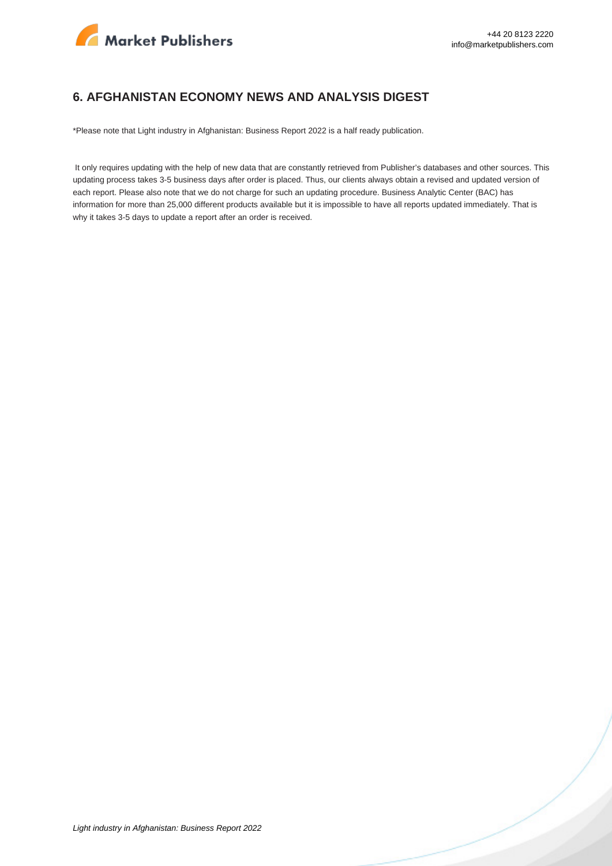

#### **6. AFGHANISTAN ECONOMY NEWS AND ANALYSIS DIGEST**

\*Please note that Light industry in Afghanistan: Business Report 2022 is a half ready publication.

 It only requires updating with the help of new data that are constantly retrieved from Publisher's databases and other sources. This updating process takes 3-5 business days after order is placed. Thus, our clients always obtain a revised and updated version of each report. Please also note that we do not charge for such an updating procedure. Business Analytic Center (BAC) has information for more than 25,000 different products available but it is impossible to have all reports updated immediately. That is why it takes 3-5 days to update a report after an order is received.